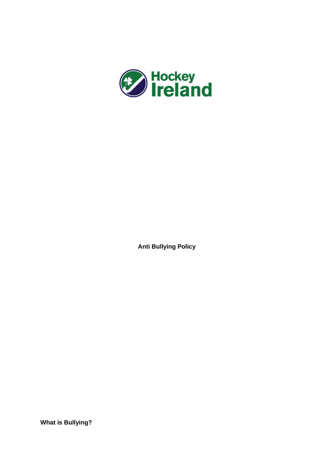

**Anti Bullying Policy**

**What is Bullying?**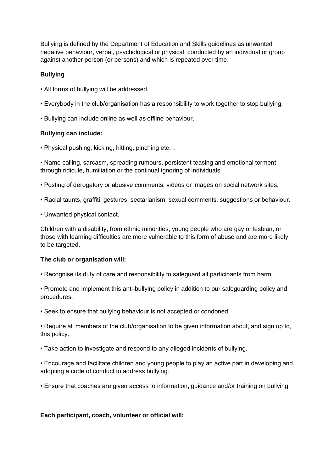Bullying is defined by the Department of Education and Skills guidelines as unwanted negative behaviour, verbal, psychological or physical, conducted by an individual or group against another person (or persons) and which is repeated over time.

# **Bullying**

- All forms of bullying will be addressed.
- Everybody in the club/organisation has a responsibility to work together to stop bullying.
- Bullying can include online as well as offline behaviour.

## **Bullying can include:**

• Physical pushing, kicking, hitting, pinching etc…

• Name calling, sarcasm, spreading rumours, persistent teasing and emotional torment through ridicule, humiliation or the continual ignoring of individuals.

- Posting of derogatory or abusive comments, videos or images on social network sites.
- Racial taunts, graffiti, gestures, sectarianism, sexual comments, suggestions or behaviour.
- Unwanted physical contact.

Children with a disability, from ethnic minorities, young people who are gay or lesbian, or those with learning difficulties are more vulnerable to this form of abuse and are more likely to be targeted.

### **The club or organisation will:**

• Recognise its duty of care and responsibility to safeguard all participants from harm.

• Promote and implement this anti-bullying policy in addition to our safeguarding policy and procedures.

• Seek to ensure that bullying behaviour is not accepted or condoned.

• Require all members of the club/organisation to be given information about, and sign up to, this policy.

- Take action to investigate and respond to any alleged incidents of bullying.
- Encourage and facilitate children and young people to play an active part in developing and adopting a code of conduct to address bullying.
- Ensure that coaches are given access to information, guidance and/or training on bullying.

### **Each participant, coach, volunteer or official will:**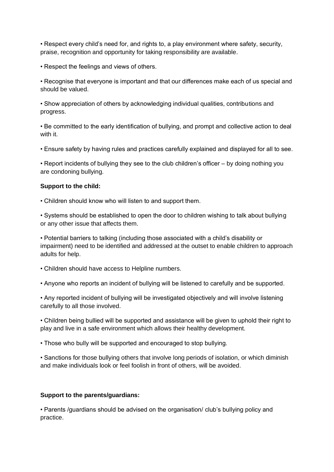• Respect every child's need for, and rights to, a play environment where safety, security, praise, recognition and opportunity for taking responsibility are available.

• Respect the feelings and views of others.

• Recognise that everyone is important and that our differences make each of us special and should be valued.

• Show appreciation of others by acknowledging individual qualities, contributions and progress.

• Be committed to the early identification of bullying, and prompt and collective action to deal with it.

• Ensure safety by having rules and practices carefully explained and displayed for all to see.

• Report incidents of bullying they see to the club children's officer – by doing nothing you are condoning bullying.

### **Support to the child:**

• Children should know who will listen to and support them.

• Systems should be established to open the door to children wishing to talk about bullying or any other issue that affects them.

• Potential barriers to talking (including those associated with a child's disability or impairment) need to be identified and addressed at the outset to enable children to approach adults for help.

- Children should have access to Helpline numbers.
- Anyone who reports an incident of bullying will be listened to carefully and be supported.

• Any reported incident of bullying will be investigated objectively and will involve listening carefully to all those involved.

• Children being bullied will be supported and assistance will be given to uphold their right to play and live in a safe environment which allows their healthy development.

• Those who bully will be supported and encouraged to stop bullying.

• Sanctions for those bullying others that involve long periods of isolation, or which diminish and make individuals look or feel foolish in front of others, will be avoided.

### **Support to the parents/guardians:**

• Parents /guardians should be advised on the organisation/ club's bullying policy and practice.